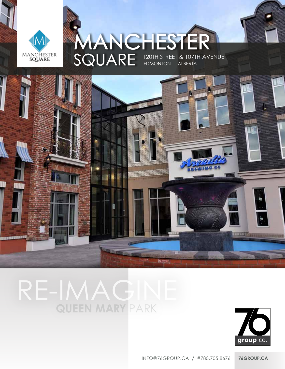

## 120TH STREET & 107TH AVENUE SQUARE 120TH STREET & 107T MANCHESTER



# RE-IMAGIN **QUEEN MARY** PARK

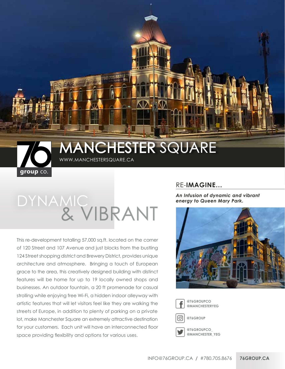

### WWW.MANCHESTERSQUARE.CA **IANCHESTER SQUARE**

# *An Infusion of dynamic and vibrant* DYNAMIC *energy to Queen Mary Park.* & VIBRANT

EASE STRANGE

This re-development totalling 57,000 sq.ft. located on the corner of 120 Street and 107 Avenue and just blocks from the bustling 124 Street shopping district and Brewery District, provides unique architecture and atmosphere. Bringing a touch of European grace to the area, this creatively designed building with distinct features will be home for up to 19 locally owned shops and businesses. An outdoor fountain, a 20 ft promenade for casual strolling while enjoying free Wi-Fi, a hidden indoor alleyway with artistic features that will let visitors feel like they are walking the streets of Europe, in addition to plenty of parking on a private lot, make Manchester Square an extremely attractive destination for your customers. Each unit will have an interconnected floor space providing flexibility and options for various uses.

#### RE-**IMAGINE…**







**@76GROUP**



**@76GROUPCO\_ @MANCHESTER\_YEG**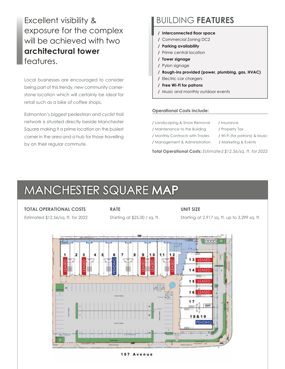Excellent visibility & exposure for the complex will be achieved with two **architectural tower** features.

Local businesses are encouraged to consider being part of this trendy, new community cornerstone location which will certainly be ideal for retail such as a bike of coffee shops.

Edmonton's biggest pedestrian and cyclist trail network is situated directly beside Manchester Square making it a prime location on the busiest corner in the area and a hub for those travelling by on their regular commute.

### BUILDING **FEATURES**

- **/ Interconnected floor space**
- **/** Commercial Zoning DC2
- **/ Parking availability**
- **/** Prime central location
- **/ Tower signage**
- **/** Pylon signage
- **/ Rough-ins provided (power, plumbing, gas, HVAC)**
- **/** Electric car chargers
- **/ Free Wi-Fi for patrons**
- **/** Music and monthly outdoor events

#### **Operational Costs include:**

**/** Landscaping & Snow Removal **/** Insurance **/** Maintenance to the Building **/** Property Tax **/** Monthly Contracts with Trades **/** Wi-Fi (for patrons) & Music **/** Management & Administration **/** Marketing & Events

- 
- 
- 

**Total Operational Costs:** *Estimated \$12.56/sq. ft. for 2022*

## MANCHESTER SQUARE MAP

#### **TOTAL OPERATIONAL COSTS**

Estimated \$12.56/sq. ft. for 2022

**RATE** 

Starting at \$25.00 / sq. ft.

**UNIT SIZE**

Starting at 2,917 sq. ft. up to 3,299 sq. ft.



107 Avenue